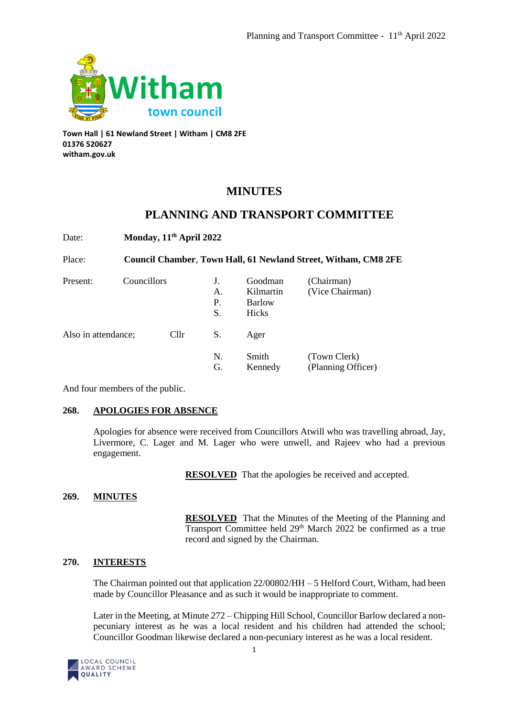

**Town Hall | 61 Newland Street | Witham | CM8 2FE 01376 520627 witham.gov.uk**

# **MINUTES**

## **PLANNING AND TRANSPORT COMMITTEE**

Date: **Monday, 11th April 2022**

Place: **Council Chamber**, **Town Hall, 61 Newland Street, Witham, CM8 2FE** Present: Councillors J. Goodman (Chairman) A. Kilmartin (Vice Chairman)

|                     |      | P.<br>S. | <b>Barlow</b><br>Hicks |                                    |
|---------------------|------|----------|------------------------|------------------------------------|
| Also in attendance; | Cllr | S.       | Ager                   |                                    |
|                     |      | N.<br>G. | Smith<br>Kennedy       | (Town Clerk)<br>(Planning Officer) |

And four members of the public.

#### **268. APOLOGIES FOR ABSENCE**

Apologies for absence were received from Councillors Atwill who was travelling abroad, Jay, Livermore, C. Lager and M. Lager who were unwell, and Rajeev who had a previous engagement.

**RESOLVED** That the apologies be received and accepted.

### **269. MINUTES**

**RESOLVED** That the Minutes of the Meeting of the Planning and Transport Committee held 29<sup>th</sup> March 2022 be confirmed as a true record and signed by the Chairman.

### **270. INTERESTS**

The Chairman pointed out that application  $22/00802/HH - 5$  Helford Court, Witham, had been made by Councillor Pleasance and as such it would be inappropriate to comment.

Later in the Meeting, at Minute 272 – Chipping Hill School, Councillor Barlow declared a nonpecuniary interest as he was a local resident and his children had attended the school; Councillor Goodman likewise declared a non-pecuniary interest as he was a local resident.

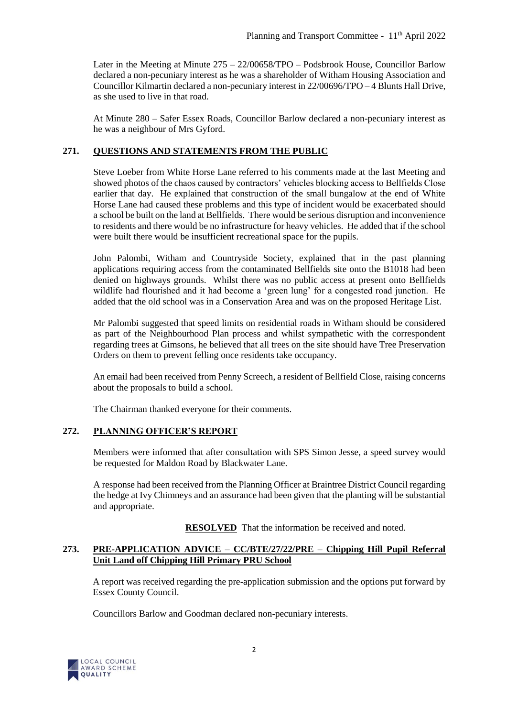Later in the Meeting at Minute 275 – 22/00658/TPO – Podsbrook House, Councillor Barlow declared a non-pecuniary interest as he was a shareholder of Witham Housing Association and Councillor Kilmartin declared a non-pecuniary interest in 22/00696/TPO – 4 Blunts Hall Drive, as she used to live in that road.

At Minute 280 – Safer Essex Roads, Councillor Barlow declared a non-pecuniary interest as he was a neighbour of Mrs Gyford.

#### **271. QUESTIONS AND STATEMENTS FROM THE PUBLIC**

Steve Loeber from White Horse Lane referred to his comments made at the last Meeting and showed photos of the chaos caused by contractors' vehicles blocking access to Bellfields Close earlier that day. He explained that construction of the small bungalow at the end of White Horse Lane had caused these problems and this type of incident would be exacerbated should a school be built on the land at Bellfields. There would be serious disruption and inconvenience to residents and there would be no infrastructure for heavy vehicles. He added that if the school were built there would be insufficient recreational space for the pupils.

John Palombi, Witham and Countryside Society, explained that in the past planning applications requiring access from the contaminated Bellfields site onto the B1018 had been denied on highways grounds. Whilst there was no public access at present onto Bellfields wildlife had flourished and it had become a 'green lung' for a congested road junction. He added that the old school was in a Conservation Area and was on the proposed Heritage List.

Mr Palombi suggested that speed limits on residential roads in Witham should be considered as part of the Neighbourhood Plan process and whilst sympathetic with the correspondent regarding trees at Gimsons, he believed that all trees on the site should have Tree Preservation Orders on them to prevent felling once residents take occupancy.

An email had been received from Penny Screech, a resident of Bellfield Close, raising concerns about the proposals to build a school.

The Chairman thanked everyone for their comments.

#### **272. PLANNING OFFICER'S REPORT**

Members were informed that after consultation with SPS Simon Jesse, a speed survey would be requested for Maldon Road by Blackwater Lane.

A response had been received from the Planning Officer at Braintree District Council regarding the hedge at Ivy Chimneys and an assurance had been given that the planting will be substantial and appropriate.

**RESOLVED** That the information be received and noted.

#### **273. PRE-APPLICATION ADVICE – CC/BTE/27/22/PRE – Chipping Hill Pupil Referral Unit Land off Chipping Hill Primary PRU School**

A report was received regarding the pre-application submission and the options put forward by Essex County Council.

Councillors Barlow and Goodman declared non-pecuniary interests.

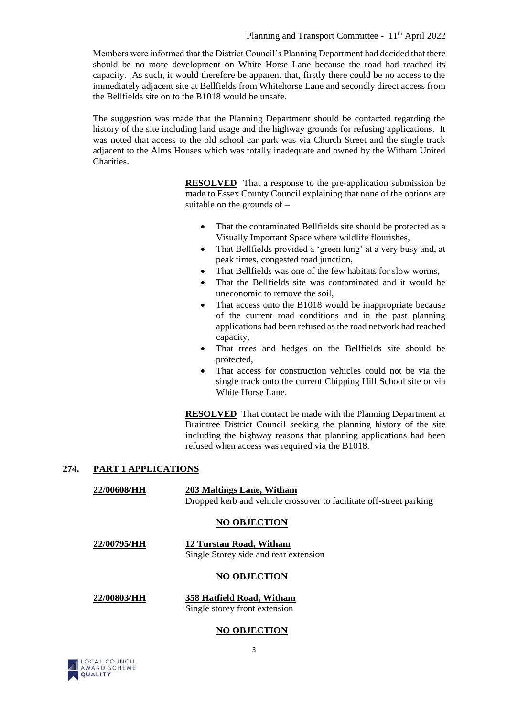Members were informed that the District Council's Planning Department had decided that there should be no more development on White Horse Lane because the road had reached its capacity. As such, it would therefore be apparent that, firstly there could be no access to the immediately adjacent site at Bellfields from Whitehorse Lane and secondly direct access from the Bellfields site on to the B1018 would be unsafe.

The suggestion was made that the Planning Department should be contacted regarding the history of the site including land usage and the highway grounds for refusing applications. It was noted that access to the old school car park was via Church Street and the single track adjacent to the Alms Houses which was totally inadequate and owned by the Witham United Charities.

> **RESOLVED** That a response to the pre-application submission be made to Essex County Council explaining that none of the options are suitable on the grounds of –

- That the contaminated Bellfields site should be protected as a Visually Important Space where wildlife flourishes,
- That Bellfields provided a 'green lung' at a very busy and, at peak times, congested road junction,
- That Bellfields was one of the few habitats for slow worms,
- That the Bellfields site was contaminated and it would be uneconomic to remove the soil,
- That access onto the B1018 would be inappropriate because of the current road conditions and in the past planning applications had been refused as the road network had reached capacity,
- That trees and hedges on the Bellfields site should be protected,
- That access for construction vehicles could not be via the single track onto the current Chipping Hill School site or via White Horse Lane.

**RESOLVED** That contact be made with the Planning Department at Braintree District Council seeking the planning history of the site including the highway reasons that planning applications had been refused when access was required via the B1018.

#### **274. PART 1 APPLICATIONS**

**22/00608/HH 203 Maltings Lane, Witham** Dropped kerb and vehicle crossover to facilitate off-street parking

#### **NO OBJECTION**

**22/00795/HH 12 Turstan Road, Witham** Single Storey side and rear extension

#### **NO OBJECTION**

**22/00803/HH 358 Hatfield Road, Witham** Single storey front extension

#### **NO OBJECTION**

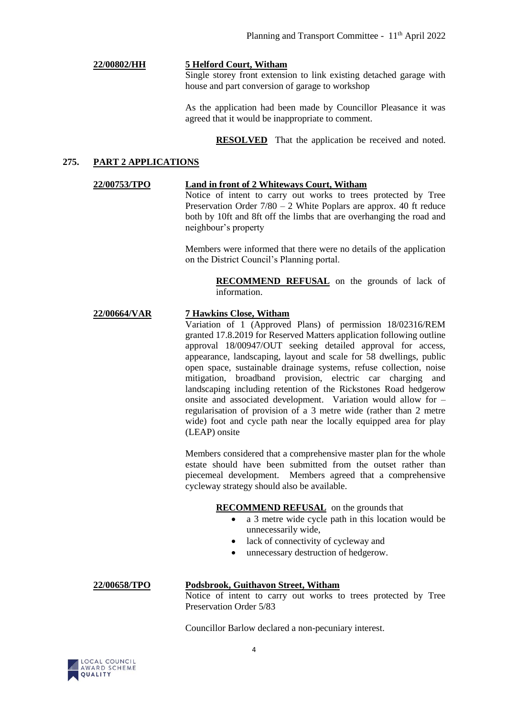#### **22/00802/HH 5 Helford Court, Witham**

Single storey front extension to link existing detached garage with house and part conversion of garage to workshop

As the application had been made by Councillor Pleasance it was agreed that it would be inappropriate to comment.

**RESOLVED** That the application be received and noted.

#### **275. PART 2 APPLICATIONS**

#### **22/00753/TPO Land in front of 2 Whiteways Court, Witham**

Notice of intent to carry out works to trees protected by Tree Preservation Order 7/80 – 2 White Poplars are approx. 40 ft reduce both by 10ft and 8ft off the limbs that are overhanging the road and neighbour's property

Members were informed that there were no details of the application on the District Council's Planning portal.

> **RECOMMEND REFUSAL** on the grounds of lack of information.

#### **22/00664/VAR 7 Hawkins Close, Witham**

Variation of 1 (Approved Plans) of permission 18/02316/REM granted 17.8.2019 for Reserved Matters application following outline approval 18/00947/OUT seeking detailed approval for access, appearance, landscaping, layout and scale for 58 dwellings, public open space, sustainable drainage systems, refuse collection, noise mitigation, broadband provision, electric car charging and landscaping including retention of the Rickstones Road hedgerow onsite and associated development. Variation would allow for – regularisation of provision of a 3 metre wide (rather than 2 metre wide) foot and cycle path near the locally equipped area for play (LEAP) onsite

Members considered that a comprehensive master plan for the whole estate should have been submitted from the outset rather than piecemeal development. Members agreed that a comprehensive cycleway strategy should also be available.

#### **RECOMMEND REFUSAL** on the grounds that

- a 3 metre wide cycle path in this location would be unnecessarily wide,
- lack of connectivity of cycleway and
- unnecessary destruction of hedgerow.

#### **22/00658/TPO Podsbrook, Guithavon Street, Witham**

Notice of intent to carry out works to trees protected by Tree Preservation Order 5/83

Councillor Barlow declared a non-pecuniary interest.

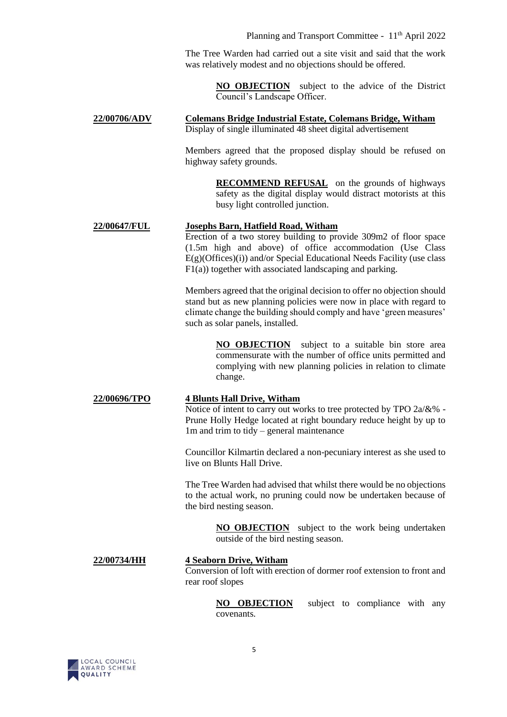The Tree Warden had carried out a site visit and said that the work was relatively modest and no objections should be offered.

> **NO OBJECTION** subject to the advice of the District Council's Landscape Officer.

**22/00706/ADV Colemans Bridge Industrial Estate, Colemans Bridge, Witham** Display of single illuminated 48 sheet digital advertisement

> Members agreed that the proposed display should be refused on highway safety grounds.

> > **RECOMMEND REFUSAL** on the grounds of highways safety as the digital display would distract motorists at this busy light controlled junction.

#### **22/00647/FUL Josephs Barn, Hatfield Road, Witham**

Erection of a two storey building to provide 309m2 of floor space (1.5m high and above) of office accommodation (Use Class  $E(g)$ (Offices)(i)) and/or Special Educational Needs Facility (use class  $F1(a)$ ) together with associated landscaping and parking.

Members agreed that the original decision to offer no objection should stand but as new planning policies were now in place with regard to climate change the building should comply and have 'green measures' such as solar panels, installed.

> **NO OBJECTION** subject to a suitable bin store area commensurate with the number of office units permitted and complying with new planning policies in relation to climate change.

# **22/00696/TPO 4 Blunts Hall Drive, Witham**

Notice of intent to carry out works to tree protected by TPO 2a/&% - Prune Holly Hedge located at right boundary reduce height by up to 1m and trim to tidy – general maintenance

Councillor Kilmartin declared a non-pecuniary interest as she used to live on Blunts Hall Drive.

The Tree Warden had advised that whilst there would be no objections to the actual work, no pruning could now be undertaken because of the bird nesting season.

> **NO OBJECTION** subject to the work being undertaken outside of the bird nesting season.

#### **22/00734/HH 4 Seaborn Drive, Witham**

Conversion of loft with erection of dormer roof extension to front and rear roof slopes

> **NO OBJECTION** subject to compliance with any covenants.

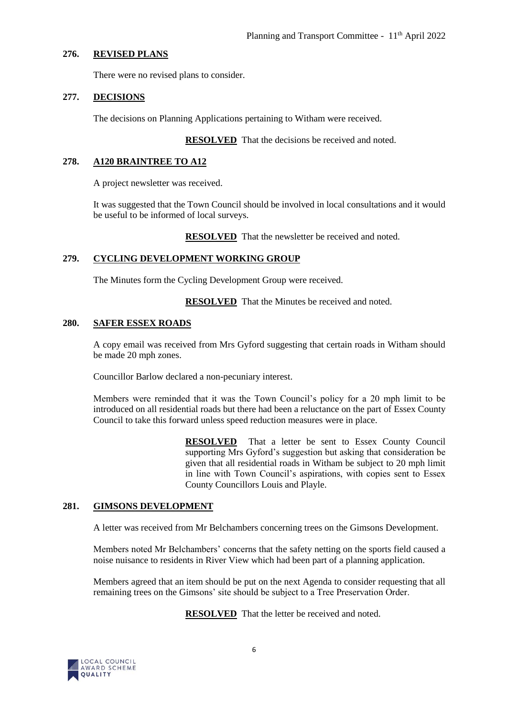#### **276. REVISED PLANS**

There were no revised plans to consider.

#### **277. DECISIONS**

The decisions on Planning Applications pertaining to Witham were received.

**RESOLVED** That the decisions be received and noted.

#### **278. A120 BRAINTREE TO A12**

A project newsletter was received.

It was suggested that the Town Council should be involved in local consultations and it would be useful to be informed of local surveys.

**RESOLVED** That the newsletter be received and noted.

#### **279. CYCLING DEVELOPMENT WORKING GROUP**

The Minutes form the Cycling Development Group were received.

**RESOLVED** That the Minutes be received and noted.

#### **280. SAFER ESSEX ROADS**

A copy email was received from Mrs Gyford suggesting that certain roads in Witham should be made 20 mph zones.

Councillor Barlow declared a non-pecuniary interest.

Members were reminded that it was the Town Council's policy for a 20 mph limit to be introduced on all residential roads but there had been a reluctance on the part of Essex County Council to take this forward unless speed reduction measures were in place.

> **RESOLVED** That a letter be sent to Essex County Council supporting Mrs Gyford's suggestion but asking that consideration be given that all residential roads in Witham be subject to 20 mph limit in line with Town Council's aspirations, with copies sent to Essex County Councillors Louis and Playle.

#### **281. GIMSONS DEVELOPMENT**

A letter was received from Mr Belchambers concerning trees on the Gimsons Development.

Members noted Mr Belchambers' concerns that the safety netting on the sports field caused a noise nuisance to residents in River View which had been part of a planning application.

Members agreed that an item should be put on the next Agenda to consider requesting that all remaining trees on the Gimsons' site should be subject to a Tree Preservation Order.

**RESOLVED** That the letter be received and noted.